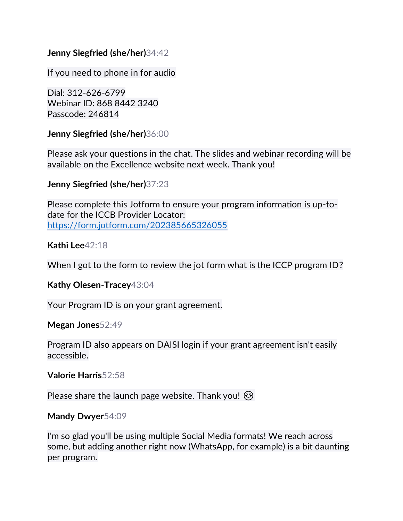## **Jenny Siegfried (she/her)**34:42

If you need to phone in for audio

Dial: 312-626-6799 Webinar ID: 868 8442 3240 Passcode: 246814

**Jenny Siegfried (she/her)**36:00

Please ask your questions in the chat. The slides and webinar recording will be available on the Excellence website next week. Thank you!

**Jenny Siegfried (she/her)**37:23

Please complete this Jotform to ensure your program information is up-todate for the ICCB Provider Locator: <https://form.jotform.com/202385665326055>

**Kathi Lee**42:18

When I got to the form to review the jot form what is the ICCP program ID?

**Kathy Olesen-Tracey**43:04

Your Program ID is on your grant agreement.

**Megan Jones**52:49

Program ID also appears on DAISI login if your grant agreement isn't easily accessible.

**Valorie Harris**52:58

Please share the launch page website. Thank you!  $\odot$ 

**Mandy Dwyer**54:09

I'm so glad you'll be using multiple Social Media formats! We reach across some, but adding another right now (WhatsApp, for example) is a bit daunting per program.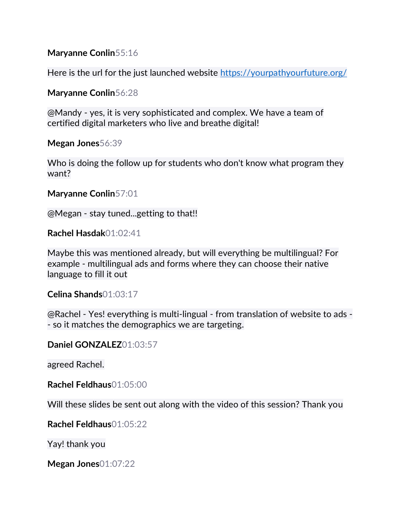**Maryanne Conlin**55:16

Here is the url for the just launched website<https://yourpathyourfuture.org/>

**Maryanne Conlin**56:28

@Mandy - yes, it is very sophisticated and complex. We have a team of certified digital marketers who live and breathe digital!

**Megan Jones**56:39

Who is doing the follow up for students who don't know what program they want?

**Maryanne Conlin**57:01

@Megan - stay tuned...getting to that!!

**Rachel Hasdak**01:02:41

Maybe this was mentioned already, but will everything be multilingual? For example - multilingual ads and forms where they can choose their native language to fill it out

**Celina Shands**01:03:17

@Rachel - Yes! everything is multi-lingual - from translation of website to ads - - so it matches the demographics we are targeting.

**Daniel GONZALEZ**01:03:57

agreed Rachel.

**Rachel Feldhaus**01:05:00

Will these slides be sent out along with the video of this session? Thank you

**Rachel Feldhaus**01:05:22

Yay! thank you

**Megan Jones**01:07:22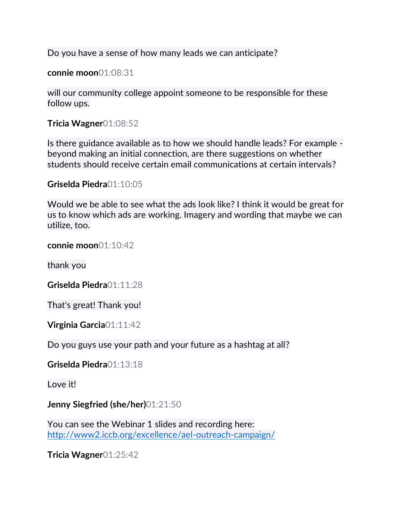Do you have a sense of how many leads we can anticipate?

**connie moon**01:08:31

will our community college appoint someone to be responsible for these follow ups.

**Tricia Wagner**01:08:52

Is there guidance available as to how we should handle leads? For example beyond making an initial connection, are there suggestions on whether students should receive certain email communications at certain intervals?

**Griselda Piedra**01:10:05

Would we be able to see what the ads look like? I think it would be great for us to know which ads are working. Imagery and wording that maybe we can utilize, too.

**connie moon**01:10:42

thank you

**Griselda Piedra**01:11:28

That's great! Thank you!

**Virginia Garcia**01:11:42

Do you guys use your path and your future as a hashtag at all?

**Griselda Piedra**01:13:18

Love it!

**Jenny Siegfried (she/her)**01:21:50

You can see the Webinar 1 slides and recording here: <http://www2.iccb.org/excellence/ael-outreach-campaign/>

**Tricia Wagner**01:25:42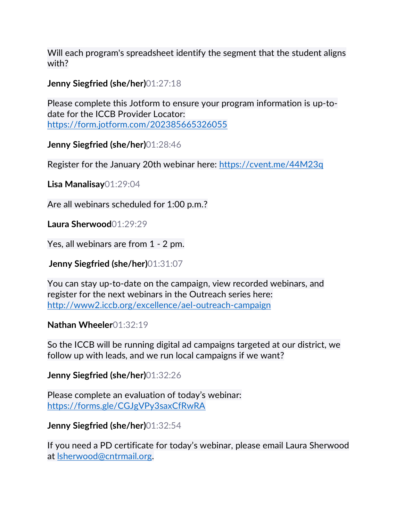Will each program's spreadsheet identify the segment that the student aligns with?

**Jenny Siegfried (she/her)**01:27:18

Please complete this Jotform to ensure your program information is up-todate for the ICCB Provider Locator: <https://form.jotform.com/202385665326055>

**Jenny Siegfried (she/her)**01:28:46

Register for the January 20th webinar here:<https://cvent.me/44M23q>

**Lisa Manalisay**01:29:04

Are all webinars scheduled for 1:00 p.m.?

**Laura Sherwood**01:29:29

Yes, all webinars are from 1 - 2 pm.

**Jenny Siegfried (she/her)**01:31:07

You can stay up-to-date on the campaign, view recorded webinars, and register for the next webinars in the Outreach series here: <http://www2.iccb.org/excellence/ael-outreach-campaign>

## **Nathan Wheeler**01:32:19

So the ICCB will be running digital ad campaigns targeted at our district, we follow up with leads, and we run local campaigns if we want?

## **Jenny Siegfried (she/her)**01:32:26

Please complete an evaluation of today's webinar: <https://forms.gle/CGJgVPy3saxCfRwRA>

## **Jenny Siegfried (she/her)**01:32:54

If you need a PD certificate for today's webinar, please email Laura Sherwood at [lsherwood@cntrmail.org.](mailto:lsherwood@cntrmail.org)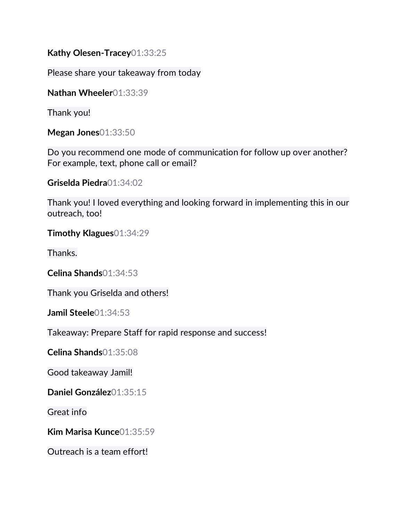**Kathy Olesen-Tracey**01:33:25

Please share your takeaway from today

**Nathan Wheeler**01:33:39

Thank you!

**Megan Jones**01:33:50

Do you recommend one mode of communication for follow up over another? For example, text, phone call or email?

**Griselda Piedra**01:34:02

Thank you! I loved everything and looking forward in implementing this in our outreach, too!

**Timothy Klagues**01:34:29

Thanks.

**Celina Shands**01:34:53

Thank you Griselda and others!

**Jamil Steele**01:34:53

Takeaway: Prepare Staff for rapid response and success!

**Celina Shands**01:35:08

Good takeaway Jamil!

**Daniel González**01:35:15

Great info

**Kim Marisa Kunce**01:35:59

Outreach is a team effort!